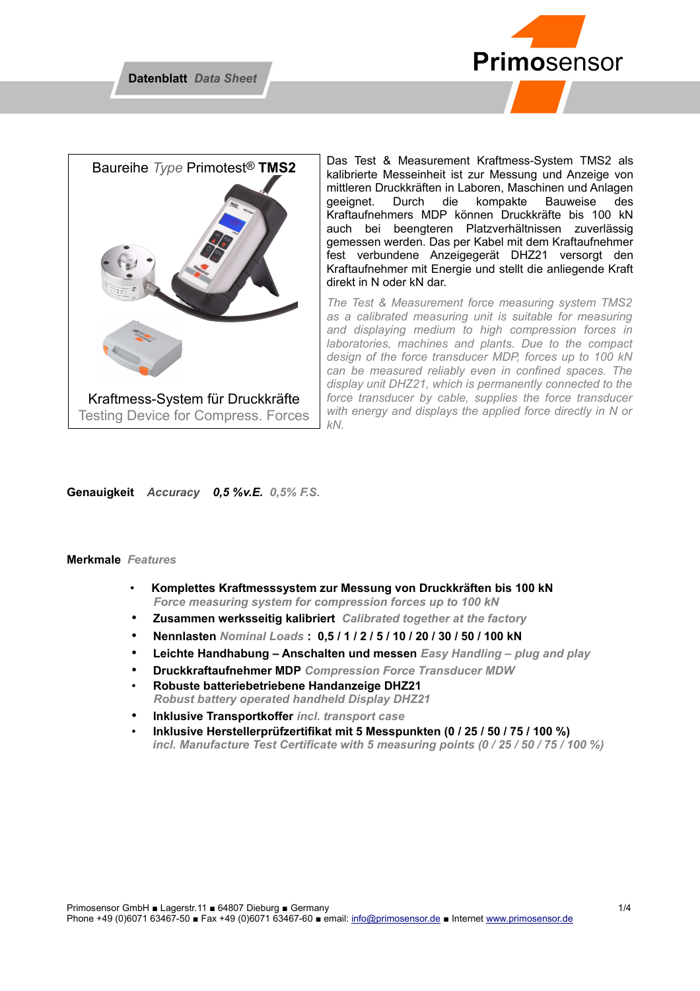



Das Test & Measurement Kraftmess-System TMS2 als kalibrierte Messeinheit ist zur Messung und Anzeige von mittleren Druckkräften in Laboren, Maschinen und Anlagen geeignet. Durch die kompakte Bauweise des Kraftaufnehmers MDP können Druckkräfte bis 100 kN auch bei beengteren Platzverhältnissen zuverlässig gemessen werden. Das per Kabel mit dem Kraftaufnehmer fest verbundene Anzeigegerät DHZ21 versorgt den Kraftaufnehmer mit Energie und stellt die anliegende Kraft direkt in N oder kN dar.

*The Test & Measurement force measuring system TMS2 as a calibrated measuring unit is suitable for measuring and displaying medium to high compression forces in laboratories, machines and plants. Due to the compact design of the force transducer MDP, forces up to 100 kN can be measured reliably even in confined spaces. The display unit DHZ21, which is permanently connected to the force transducer by cable, supplies the force transducer with energy and displays the applied force directly in N or kN.* 

#### **Genauigkeit** *Accuracy 0,5 %v.E. 0,5% F.S.*

### **Merkmale** *Features*

- **Komplettes Kraftmesssystem zur Messung von Druckkräften bis 100 kN**   *Force measuring system for compression forces up to 100 kN*
- **Zusammen werksseitig kalibriert** *Calibrated together at the factory*
- **Nennlasten** *Nominal Loads* **: 0,5 / 1 / 2 / 5 / 10 / 20 / 30 / 50 / 100 kN**
- **Leichte Handhabung Anschalten und messen** *Easy Handling plug and play*
- **Druckkraftaufnehmer MDP** *Compression Force Transducer MDW*
- **Robuste batteriebetriebene Handanzeige DHZ21**  *Robust battery operated handheld Display DHZ21*
- **Inklusive Transportkoffer** *incl. transport case*
- **Inklusive Herstellerprüfzertifikat mit 5 Messpunkten (0 / 25 / 50 / 75 / 100 %)** *incl. Manufacture Test Certificate with 5 measuring points (0 / 25 / 50 / 75 / 100 %)*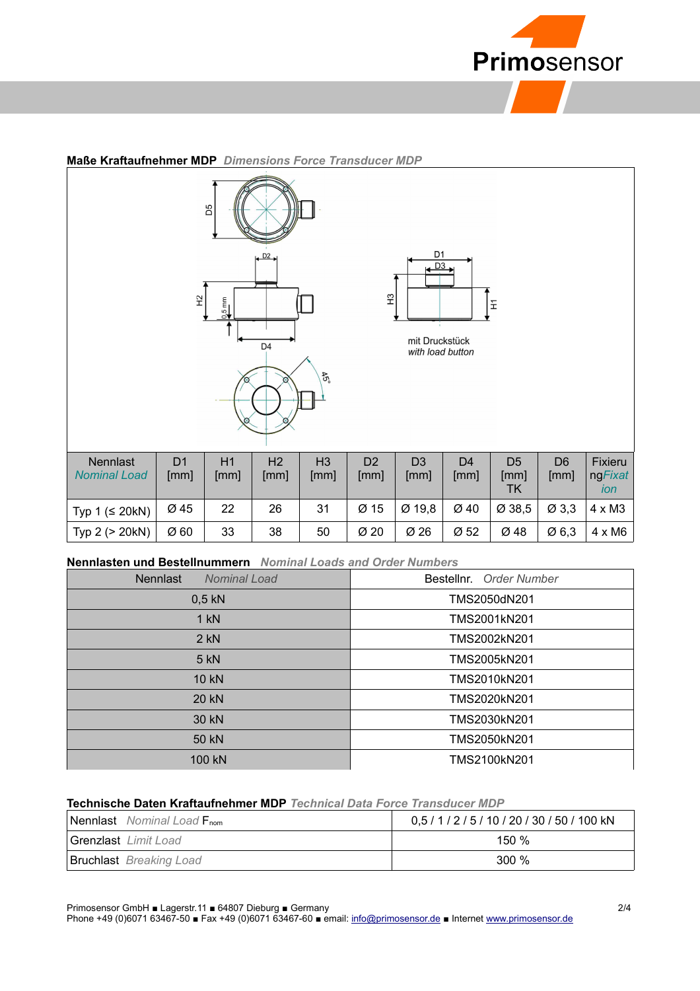

|                                 | $\tilde{z}$            | D5<br>$25 \text{ mm}$ | $\sqrt{D^2}$<br>D <sub>4</sub> | $\mathfrak{F}_2$       | $\ensuremath{\mathfrak{L}}$ | D1<br>$\sqrt{D3}$<br>mit Druckstück<br>with load button |                        | $\mathbb{E}$                        |                        |                           |
|---------------------------------|------------------------|-----------------------|--------------------------------|------------------------|-----------------------------|---------------------------------------------------------|------------------------|-------------------------------------|------------------------|---------------------------|
| Nennlast<br><b>Nominal Load</b> | D <sub>1</sub><br>[mm] | H1<br>[mm]            | H2<br>[mm]                     | H <sub>3</sub><br>[mm] | D <sub>2</sub><br>[mm]      | D <sub>3</sub><br>[mm]                                  | D <sub>4</sub><br>[mm] | D <sub>5</sub><br>[mm]<br><b>TK</b> | D <sub>6</sub><br>[mm] | Fixieru<br>ngFixat<br>ion |
| Typ $1 \leq 20kN$               | Ø 45                   | 22                    | 26                             | 31                     | Ø 15                        | Ø 19,8                                                  | Ø 40                   | Ø 38,5                              | $\varnothing$ 3,3      | $4 \times M3$             |
| Typ 2 (> 20kN)                  | Ø 60                   | 33                    | 38                             | 50                     | Ø 20                        | Ø 26                                                    | Ø 52                   | Ø 48                                | Ø6,3                   | $4 \times M6$             |

## **Maße Kraftaufnehmer MDP** *Dimensions Force Transducer MDP*

#### **Nennlasten und Bestellnummern** *Nominal Loads and Order Numbers*

| <b>Nennlast</b><br>Nominal Load | Bestellnr. Order Number |  |  |
|---------------------------------|-------------------------|--|--|
| $0,5$ kN                        | TMS2050dN201            |  |  |
| $1$ kN                          | TMS2001kN201            |  |  |
| $2$ kN                          | TMS2002kN201            |  |  |
| 5 kN                            | TMS2005kN201            |  |  |
| 10 kN                           | TMS2010kN201            |  |  |
| 20 kN                           | TMS2020kN201            |  |  |
| 30 kN                           | TMS2030kN201            |  |  |
| 50 kN                           | TMS2050kN201            |  |  |
| 100 kN                          | TMS2100kN201            |  |  |

## **Technische Daten Kraftaufnehmer MDP** *Technical Data Force Transducer MDP*

| <b>Nennlast</b> Nominal Load F <sub>nom</sub> | 0,5 / 1 / 2 / 5 / 10 / 20 / 30 / 50 / 100 kN |
|-----------------------------------------------|----------------------------------------------|
| Grenzlast Limit Load                          | 150 $%$                                      |
| <b>Bruchlast</b> Breaking Load                | 300 <sup>%</sup>                             |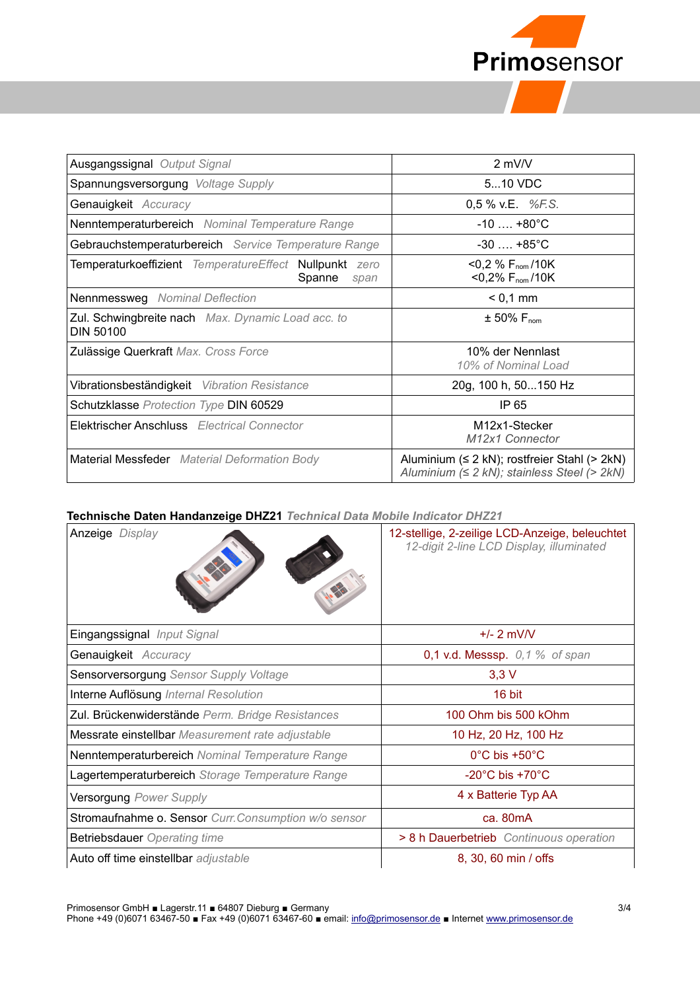

| Ausgangssignal Output Signal                                             | $2$ mV/V                                                                                         |  |  |
|--------------------------------------------------------------------------|--------------------------------------------------------------------------------------------------|--|--|
| Spannungsversorgung Voltage Supply                                       | 510 VDC                                                                                          |  |  |
| Genauigkeit Accuracy                                                     | 0,5 % v.E. $%FES$ .                                                                              |  |  |
| Nenntemperaturbereich Nominal Temperature Range                          | $-10$ $+80^{\circ}$ C                                                                            |  |  |
| Gebrauchstemperaturbereich Service Temperature Range                     | $-30$ +85°C                                                                                      |  |  |
| Temperaturkoeffizient TemperatureEffect Nullpunkt zero<br>Spanne<br>span | $<$ 0,2 % F <sub>nom</sub> /10K<br>$<$ 0,2% F <sub>nom</sub> /10K                                |  |  |
| <b>Nennmessweg</b> Nominal Deflection                                    | $< 0.1$ mm                                                                                       |  |  |
| Zul. Schwingbreite nach Max. Dynamic Load acc. to<br>DIN 50100           | $\pm$ 50% $F_{\text{nom}}$                                                                       |  |  |
| Zulässige Querkraft Max. Cross Force                                     | 10% der Nennlast<br>10% of Nominal Load                                                          |  |  |
| Vibrationsbeständigkeit Vibration Resistance                             | 20g, 100 h, 50150 Hz                                                                             |  |  |
| Schutzklasse Protection Type DIN 60529                                   | IP 65                                                                                            |  |  |
| <b>Elektrischer Anschluss</b> Electrical Connector                       | M <sub>12x1</sub> -Stecker<br>M <sub>12x1</sub> Connector                                        |  |  |
| <b>Material Messfeder</b> Material Deformation Body                      | Aluminium (≤ 2 kN); rostfreier Stahl (> 2kN)<br>Aluminium $(≤ 2 kN)$ ; stainless Steel $(> 2kN)$ |  |  |

## **Technische Daten Handanzeige DHZ21** *Technical Data Mobile Indicator DHZ21*

| Anzeige Display                                      | 12-stellige, 2-zeilige LCD-Anzeige, beleuchtet<br>12-digit 2-line LCD Display, illuminated |  |  |
|------------------------------------------------------|--------------------------------------------------------------------------------------------|--|--|
| Eingangssignal Input Signal                          | $+/- 2$ mV/V                                                                               |  |  |
| Genauigkeit Accuracy                                 | 0,1 v.d. Messsp. $0,1$ % of span                                                           |  |  |
| Sensorversorgung Sensor Supply Voltage               | $3,3$ V                                                                                    |  |  |
| Interne Auflösung Internal Resolution                | 16 bit                                                                                     |  |  |
| Zul. Brückenwiderstände Perm. Bridge Resistances     | 100 Ohm bis 500 kOhm                                                                       |  |  |
| Messrate einstellbar Measurement rate adjustable     | 10 Hz, 20 Hz, 100 Hz                                                                       |  |  |
| Nenntemperaturbereich Nominal Temperature Range      | $0^{\circ}$ C bis +50 $^{\circ}$ C                                                         |  |  |
| Lagertemperaturbereich Storage Temperature Range     | $-20^{\circ}$ C bis $+70^{\circ}$ C                                                        |  |  |
| <b>Versorgung Power Supply</b>                       | 4 x Batterie Typ AA                                                                        |  |  |
| Stromaufnahme o. Sensor Curr. Consumption w/o sensor | ca. 80mA                                                                                   |  |  |
| <b>Betriebsdauer</b> Operating time                  | > 8 h Dauerbetrieb Continuous operation                                                    |  |  |
| Auto off time einstellbar adjustable                 | 8, 30, 60 min / offs                                                                       |  |  |